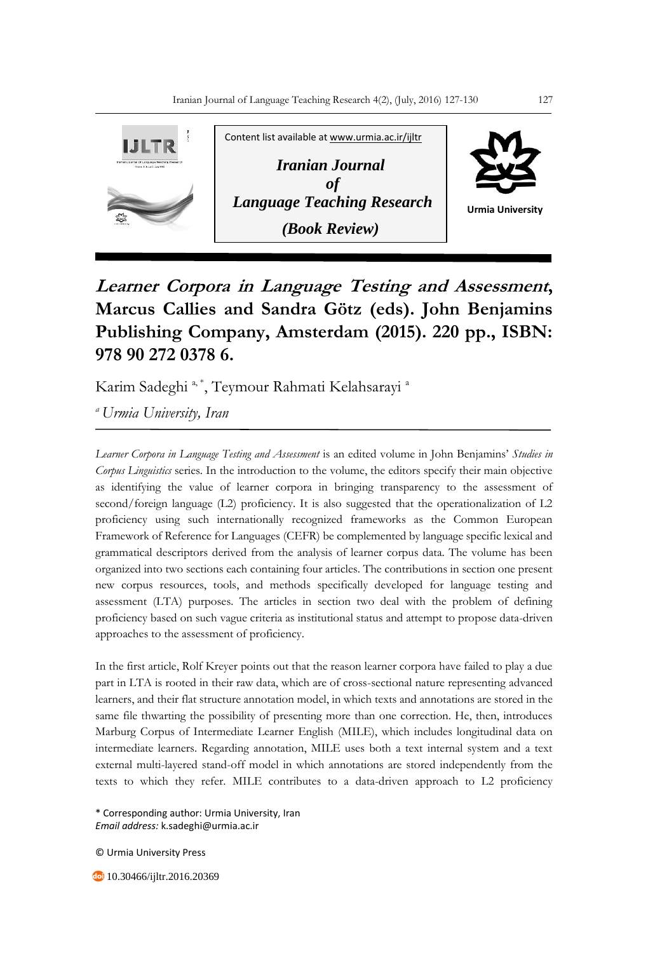

## **Learner Corpora in Language Testing and Assessment, Marcus Callies and Sandra Götz (eds). John Benjamins Publishing Company, Amsterdam (2015). 220 pp., ISBN: 978 90 272 0378 6.**

Karim Sadeghi <sup>a, \*</sup>, Teymour Rahmati Kelahsarayi <sup>a</sup>

*<sup>a</sup>Urmia University, Iran*

*Learner Corpora in Language Testing and Assessment* is an edited volume in John Benjamins' *Studies in Corpus Linguistics* series. In the introduction to the volume, the editors specify their main objective as identifying the value of learner corpora in bringing transparency to the assessment of second/foreign language (L2) proficiency. It is also suggested that the operationalization of L2 proficiency using such internationally recognized frameworks as the Common European Framework of Reference for Languages (CEFR) be complemented by language specific lexical and grammatical descriptors derived from the analysis of learner corpus data. The volume has been organized into two sections each containing four articles. The contributions in section one present new corpus resources, tools, and methods specifically developed for language testing and assessment (LTA) purposes. The articles in section two deal with the problem of defining proficiency based on such vague criteria as institutional status and attempt to propose data-driven approaches to the assessment of proficiency.

In the first article, Rolf Kreyer points out that the reason learner corpora have failed to play a due part in LTA is rooted in their raw data, which are of cross-sectional nature representing advanced learners, and their flat structure annotation model, in which texts and annotations are stored in the same file thwarting the possibility of presenting more than one correction. He, then, introduces Marburg Corpus of Intermediate Learner English (MILE), which includes longitudinal data on intermediate learners. Regarding annotation, MILE uses both a text internal system and a text external multi-layered stand-off model in which annotations are stored independently from the texts to which they refer. MILE contributes to a data-driven approach to L2 proficiency

\* Corresponding author: Urmia University, Iran *Email address:* k.sadeghi@urmia.ac.ir

© Urmia University Press

10.30466/ijltr.2016.20369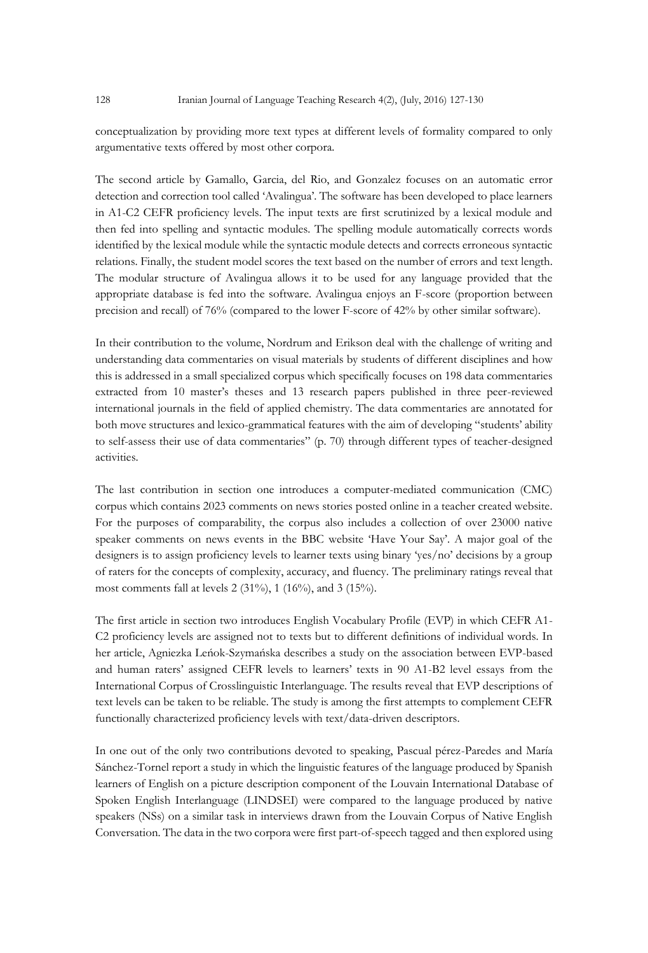128 Iranian Journal of Language Teaching Research 4(2), (July, 2016) 127-130

conceptualization by providing more text types at different levels of formality compared to only argumentative texts offered by most other corpora.

The second article by Gamallo, Garcia, del Rio, and Gonzalez focuses on an automatic error detection and correction tool called 'Avalingua'. The software has been developed to place learners in A1-C2 CEFR proficiency levels. The input texts are first scrutinized by a lexical module and then fed into spelling and syntactic modules. The spelling module automatically corrects words identified by the lexical module while the syntactic module detects and corrects erroneous syntactic relations. Finally, the student model scores the text based on the number of errors and text length. The modular structure of Avalingua allows it to be used for any language provided that the appropriate database is fed into the software. Avalingua enjoys an F-score (proportion between precision and recall) of 76% (compared to the lower F-score of 42% by other similar software).

In their contribution to the volume, Nordrum and Erikson deal with the challenge of writing and understanding data commentaries on visual materials by students of different disciplines and how this is addressed in a small specialized corpus which specifically focuses on 198 data commentaries extracted from 10 master's theses and 13 research papers published in three peer-reviewed international journals in the field of applied chemistry. The data commentaries are annotated for both move structures and lexico-grammatical features with the aim of developing "students' ability to self-assess their use of data commentaries" (p. 70) through different types of teacher-designed activities.

The last contribution in section one introduces a computer-mediated communication (CMC) corpus which contains 2023 comments on news stories posted online in a teacher created website. For the purposes of comparability, the corpus also includes a collection of over 23000 native speaker comments on news events in the BBC website 'Have Your Say'. A major goal of the designers is to assign proficiency levels to learner texts using binary 'yes/no' decisions by a group of raters for the concepts of complexity, accuracy, and fluency. The preliminary ratings reveal that most comments fall at levels 2 (31%), 1 (16%), and 3 (15%).

The first article in section two introduces English Vocabulary Profile (EVP) in which CEFR A1- C2 proficiency levels are assigned not to texts but to different definitions of individual words. In her article, Agniezka Leńok-Szymańska describes a study on the association between EVP-based and human raters' assigned CEFR levels to learners' texts in 90 A1-B2 level essays from the International Corpus of Crosslinguistic Interlanguage. The results reveal that EVP descriptions of text levels can be taken to be reliable. The study is among the first attempts to complement CEFR functionally characterized proficiency levels with text/data-driven descriptors.

In one out of the only two contributions devoted to speaking, Pascual pérez-Paredes and María Sánchez-Tornel report a study in which the linguistic features of the language produced by Spanish learners of English on a picture description component of the Louvain International Database of Spoken English Interlanguage (LINDSEI) were compared to the language produced by native speakers (NSs) on a similar task in interviews drawn from the Louvain Corpus of Native English Conversation. The data in the two corpora were first part-of-speech tagged and then explored using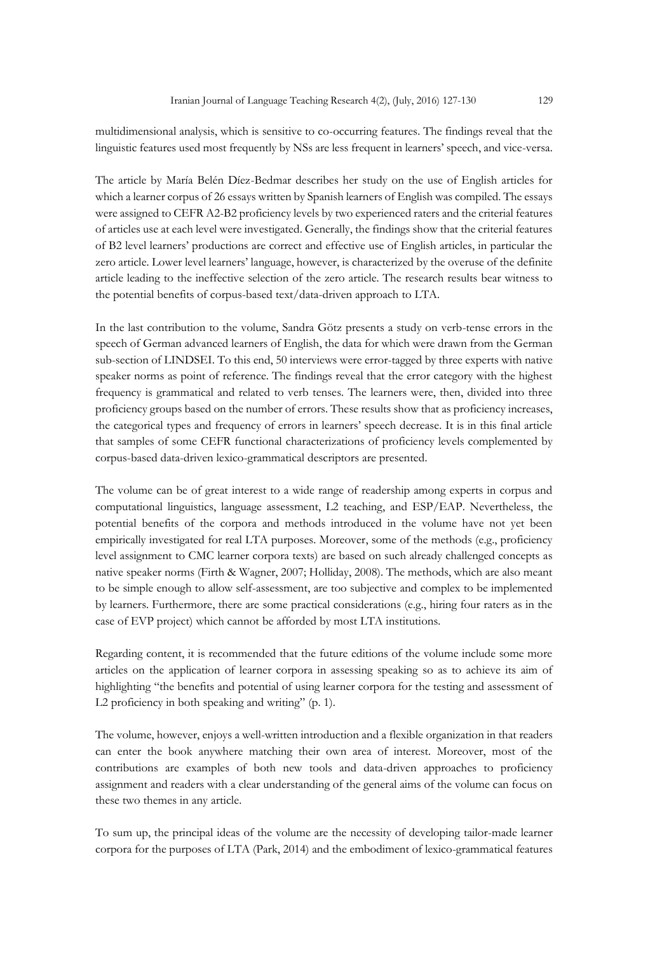multidimensional analysis, which is sensitive to co-occurring features. The findings reveal that the linguistic features used most frequently by NSs are less frequent in learners' speech, and vice-versa.

The article by María Belén Díez-Bedmar describes her study on the use of English articles for which a learner corpus of 26 essays written by Spanish learners of English was compiled. The essays were assigned to CEFR A2-B2 proficiency levels by two experienced raters and the criterial features of articles use at each level were investigated. Generally, the findings show that the criterial features of B2 level learners' productions are correct and effective use of English articles, in particular the zero article. Lower level learners' language, however, is characterized by the overuse of the definite article leading to the ineffective selection of the zero article. The research results bear witness to the potential benefits of corpus-based text/data-driven approach to LTA.

In the last contribution to the volume, Sandra Götz presents a study on verb-tense errors in the speech of German advanced learners of English, the data for which were drawn from the German sub-section of LINDSEI. To this end, 50 interviews were error-tagged by three experts with native speaker norms as point of reference. The findings reveal that the error category with the highest frequency is grammatical and related to verb tenses. The learners were, then, divided into three proficiency groups based on the number of errors. These results show that as proficiency increases, the categorical types and frequency of errors in learners' speech decrease. It is in this final article that samples of some CEFR functional characterizations of proficiency levels complemented by corpus-based data-driven lexico-grammatical descriptors are presented.

The volume can be of great interest to a wide range of readership among experts in corpus and computational linguistics, language assessment, L2 teaching, and ESP/EAP. Nevertheless, the potential benefits of the corpora and methods introduced in the volume have not yet been empirically investigated for real LTA purposes. Moreover, some of the methods (e.g., proficiency level assignment to CMC learner corpora texts) are based on such already challenged concepts as native speaker norms (Firth & Wagner, 2007; Holliday, 2008). The methods, which are also meant to be simple enough to allow self-assessment, are too subjective and complex to be implemented by learners. Furthermore, there are some practical considerations (e.g., hiring four raters as in the case of EVP project) which cannot be afforded by most LTA institutions.

Regarding content, it is recommended that the future editions of the volume include some more articles on the application of learner corpora in assessing speaking so as to achieve its aim of highlighting "the benefits and potential of using learner corpora for the testing and assessment of L2 proficiency in both speaking and writing" (p. 1).

The volume, however, enjoys a well-written introduction and a flexible organization in that readers can enter the book anywhere matching their own area of interest. Moreover, most of the contributions are examples of both new tools and data-driven approaches to proficiency assignment and readers with a clear understanding of the general aims of the volume can focus on these two themes in any article.

To sum up, the principal ideas of the volume are the necessity of developing tailor-made learner corpora for the purposes of LTA (Park, 2014) and the embodiment of lexico-grammatical features